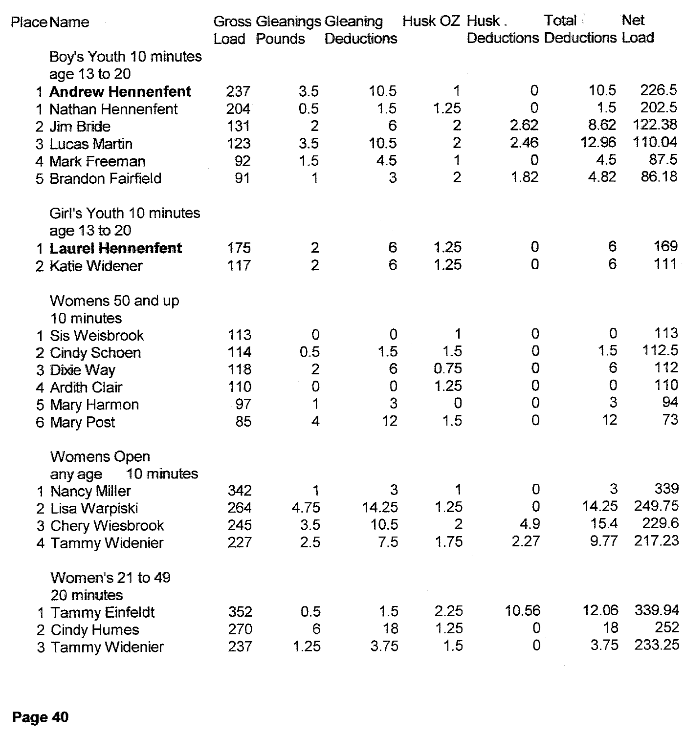| Place Name |                                             |     | <b>Gross Gleanings Gleaning</b> |            | Husk OZ Husk.  |                | Total                             | Net    |
|------------|---------------------------------------------|-----|---------------------------------|------------|----------------|----------------|-----------------------------------|--------|
|            |                                             |     | Load Pounds                     | Deductions |                |                | <b>Deductions Deductions Load</b> |        |
|            | Boy's Youth 10 minutes<br>age 13 to 20      |     |                                 |            |                |                |                                   |        |
|            | 1 Andrew Hennenfent                         | 237 | 3.5                             | 10.5       | 1              | 0              | 10.5                              | 226.5  |
|            | 1 Nathan Hennenfent                         | 204 | 0.5                             | 1.5        | 1.25           | 0              | 1.5                               | 202.5  |
|            | 2 Jim Bride                                 | 131 | $\overline{2}$                  | 6          | $\overline{c}$ | 2.62           | 8.62                              | 122.38 |
|            | 3 Lucas Martin                              | 123 | 3.5                             | 10.5       | $\overline{2}$ | 2.46           | 12.96                             | 110.04 |
|            | 4 Mark Freeman                              | 92  | 1.5                             | 4.5        | $\mathbf 1$    | 0              | 4.5                               | 87.5   |
|            | 5 Brandon Fairfield                         | 91  | 1                               | 3          | $\overline{2}$ | 1.82           | 4.82                              | 86.18  |
|            | Girl's Youth 10 minutes<br>age 13 to 20     |     |                                 |            |                |                |                                   |        |
|            | 1 Laurel Hennenfent                         | 175 | 2                               | 6          | 1.25           | 0              | 6                                 | 169    |
|            | 2 Katie Widener                             | 117 | $\overline{2}$                  | 6          | 1.25           | $\mathbf 0$    | 6                                 | 111    |
|            | Womens 50 and up<br>10 minutes              |     |                                 |            |                |                |                                   |        |
|            | 1 Sis Weisbrook                             | 113 | 0                               | 0          | 1              | 0              | 0                                 | 113    |
|            | 2 Cindy Schoen                              | 114 | 0.5                             | 1.5        | 1.5            | 0              | 1.5                               | 112.5  |
|            | 3 Dixie Way                                 | 118 | $\overline{2}$                  | 6          | 0.75           | 0              | 6                                 | 112    |
|            | 4 Ardith Clair                              | 110 | $\mathbf 0$                     | 0          | 1.25           | 0              | $\Omega$                          | 110    |
|            | 5 Mary Harmon                               | 97  | 1                               | 3          | 0              | $\theta$       | 3                                 | 94     |
|            | 6 Mary Post                                 | 85  | 4                               | 12         | 1.5            | $\overline{0}$ | 12                                | 73     |
|            | <b>Womens Open</b><br>10 minutes<br>any age |     |                                 |            |                |                |                                   |        |
|            | 1 Nancy Miller                              | 342 | 1                               | 3          | 1              | 0              | 3                                 | 339    |
|            | 2 Lisa Warpiski                             | 264 | 4.75                            | 14.25      | 1.25           | $\mathbf 0$    | 14.25                             | 249.75 |
|            | 3 Chery Wiesbrook                           | 245 | 3.5                             | 10.5       | $\overline{2}$ | 4.9            | 15.4                              | 229.6  |
|            | 4 Tammy Widenier                            | 227 | 2.5                             | 7.5        | 1.75           | 2.27           | 9.77                              | 217.23 |
|            | Women's 21 to 49<br>20 minutes              |     |                                 |            |                |                |                                   |        |
|            | 1 Tammy Einfeldt                            | 352 | 0.5                             | 1.5        | 2.25           | 10.56          | 12.06                             | 339.94 |
|            | 2 Cindy Humes                               | 270 | 6                               | 18         | 1.25           | 0              | 18                                | 252    |
|            | 3 Tammy Widenier                            | 237 | 1.25                            | 3.75       | 1.5            | 0              | 3.75                              | 233.25 |